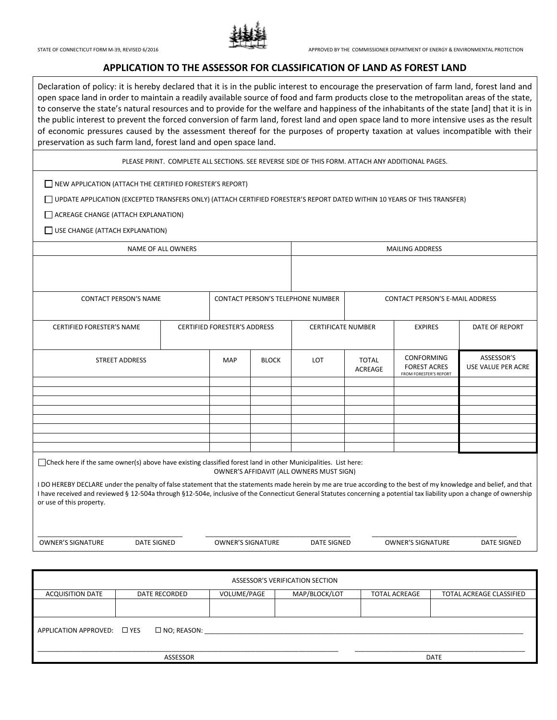

### **APPLICATION TO THE ASSESSOR FOR CLASSIFICATION OF LAND AS FOREST LAND**

Declaration of policy: it is hereby declared that it is in the public interest to encourage the preservation of farm land, forest land and open space land in order to maintain a readily available source of food and farm products close to the metropolitan areas of the state, to conserve the state's natural resources and to provide for the welfare and happiness of the inhabitants of the state [and] that it is in the public interest to prevent the forced conversion of farm land, forest land and open space land to more intensive uses as the result of economic pressures caused by the assessment thereof for the purposes of property taxation at values incompatible with their preservation as such farm land, forest land and open space land.

PLEASE PRINT. COMPLETE ALL SECTIONS. SEE REVERSE SIDE OF THIS FORM. ATTACH ANY ADDITIONAL PAGES.

 $\Box$  NEW APPLICATION (ATTACH THE CERTIFIED FORESTER'S REPORT)

UPDATE APPLICATION (EXCEPTED TRANSFERS ONLY) (ATTACH CERTIFIED FORESTER'S REPORT DATED WITHIN 10 YEARS OF THIS TRANSFER)

ACREAGE CHANGE (ATTACH EXPLANATION)

USE CHANGE (ATTACH EXPLANATION)

| <b>NAME OF ALL OWNERS</b>                                                                                                                                                                                                                                                                                                                                                |  |                                          |              | <b>MAILING ADDRESS</b> |                                             |                                                                    |                                  |  |  |
|--------------------------------------------------------------------------------------------------------------------------------------------------------------------------------------------------------------------------------------------------------------------------------------------------------------------------------------------------------------------------|--|------------------------------------------|--------------|------------------------|---------------------------------------------|--------------------------------------------------------------------|----------------------------------|--|--|
|                                                                                                                                                                                                                                                                                                                                                                          |  |                                          |              |                        |                                             |                                                                    |                                  |  |  |
| <b>CONTACT PERSON'S NAME</b>                                                                                                                                                                                                                                                                                                                                             |  | <b>CONTACT PERSON'S TELEPHONE NUMBER</b> |              |                        |                                             | <b>CONTACT PERSON'S E-MAIL ADDRESS</b>                             |                                  |  |  |
| <b>CERTIFIED FORESTER'S NAME</b>                                                                                                                                                                                                                                                                                                                                         |  | <b>CERTIFIED FORESTER'S ADDRESS</b>      |              |                        | <b>CERTIFICATE NUMBER</b><br><b>EXPIRES</b> |                                                                    | DATE OF REPORT                   |  |  |
| <b>STREET ADDRESS</b>                                                                                                                                                                                                                                                                                                                                                    |  | <b>MAP</b>                               | <b>BLOCK</b> | LOT                    | <b>TOTAL</b><br><b>ACREAGE</b>              | <b>CONFORMING</b><br><b>FOREST ACRES</b><br>FROM FORESTER'S REPORT | ASSESSOR'S<br>USE VALUE PER ACRE |  |  |
|                                                                                                                                                                                                                                                                                                                                                                          |  |                                          |              |                        |                                             |                                                                    |                                  |  |  |
|                                                                                                                                                                                                                                                                                                                                                                          |  |                                          |              |                        |                                             |                                                                    |                                  |  |  |
|                                                                                                                                                                                                                                                                                                                                                                          |  |                                          |              |                        |                                             |                                                                    |                                  |  |  |
|                                                                                                                                                                                                                                                                                                                                                                          |  |                                          |              |                        |                                             |                                                                    |                                  |  |  |
|                                                                                                                                                                                                                                                                                                                                                                          |  |                                          |              |                        |                                             |                                                                    |                                  |  |  |
|                                                                                                                                                                                                                                                                                                                                                                          |  |                                          |              |                        |                                             |                                                                    |                                  |  |  |
| □ Check here if the same owner(s) above have existing classified forest land in other Municipalities. List here:<br>OWNER'S AFFIDAVIT (ALL OWNERS MUST SIGN)                                                                                                                                                                                                             |  |                                          |              |                        |                                             |                                                                    |                                  |  |  |
| I DO HEREBY DECLARE under the penalty of false statement that the statements made herein by me are true according to the best of my knowledge and belief, and that<br>I have received and reviewed § 12-504a through §12-504e, inclusive of the Connecticut General Statutes concerning a potential tax liability upon a change of ownership<br>or use of this property. |  |                                          |              |                        |                                             |                                                                    |                                  |  |  |
|                                                                                                                                                                                                                                                                                                                                                                          |  |                                          |              |                        |                                             |                                                                    |                                  |  |  |

OWNER'S SIGNATURE DATE SIGNED OWNER'S SIGNATURE DATE SIGNED OWNER'S SIGNATURE DATE SIGNED

| ASSESSOR'S VERIFICATION SECTION |                       |             |               |                      |                          |  |  |  |  |
|---------------------------------|-----------------------|-------------|---------------|----------------------|--------------------------|--|--|--|--|
| <b>ACQUISITION DATE</b>         | DATE RECORDED         | VOLUME/PAGE | MAP/BLOCK/LOT | <b>TOTAL ACREAGE</b> | TOTAL ACREAGE CLASSIFIED |  |  |  |  |
|                                 |                       |             |               |                      |                          |  |  |  |  |
| APPLICATION APPROVED: □ YES     | $\square$ NO; REASON: |             |               |                      |                          |  |  |  |  |
| ASSESSOR                        |                       |             |               |                      | <b>DATE</b>              |  |  |  |  |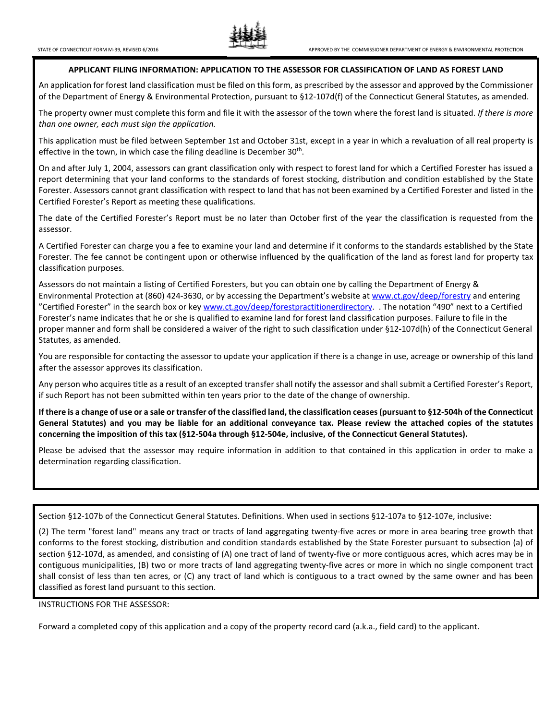

#### **APPLICANT FILING INFORMATION: APPLICATION TO THE ASSESSOR FOR CLASSIFICATION OF LAND AS FOREST LAND**

An application for forest land classification must be filed on this form, as prescribed by the assessor and approved by the Commissioner of the Department of Energy & Environmental Protection, pursuant to §12-107d(f) of the Connecticut General Statutes, as amended.

The property owner must complete this form and file it with the assessor of the town where the forest land is situated. *If there is more than one owner, each must sign the application.*

This application must be filed between September 1st and October 31st, except in a year in which a revaluation of all real property is effective in the town, in which case the filing deadline is December  $30<sup>th</sup>$ .

On and after July 1, 2004, assessors can grant classification only with respect to forest land for which a Certified Forester has issued a report determining that your land conforms to the standards of forest stocking, distribution and condition established by the State Forester. Assessors cannot grant classification with respect to land that has not been examined by a Certified Forester and listed in the Certified Forester's Report as meeting these qualifications.

The date of the Certified Forester's Report must be no later than October first of the year the classification is requested from the assessor.

A Certified Forester can charge you a fee to examine your land and determine if it conforms to the standards established by the State Forester. The fee cannot be contingent upon or otherwise influenced by the qualification of the land as forest land for property tax classification purposes.

Assessors do not maintain a listing of Certified Foresters, but you can obtain one by calling the Department of Energy & Environmental Protection at (860) 424-3630, or by accessing the Department's website at [www.ct.gov/deep/forestry](http://www.ct.gov/deep/forestry) and entering "Certified Forester" in the search box or ke[y www.ct.gov/deep/forestpractitionerdirectory.](http://www.ct.gov/deep/forestpractitionerdirectory) . The notation "490" next to a Certified Forester's name indicates that he or she is qualified to examine land for forest land classification purposes. Failure to file in the proper manner and form shall be considered a waiver of the right to such classification under §12-107d(h) of the Connecticut General Statutes, as amended.

You are responsible for contacting the assessor to update your application if there is a change in use, acreage or ownership of this land after the assessor approves its classification.

Any person who acquires title as a result of an excepted transfer shall notify the assessor and shall submit a Certified Forester's Report, if such Report has not been submitted within ten years prior to the date of the change of ownership.

**If there is a change of use or a sale or transfer of the classified land, the classification ceases (pursuant to §12-504h of the Connecticut General Statutes) and you may be liable for an additional conveyance tax. Please review the attached copies of the statutes concerning the imposition of this tax (§12-504a through §12-504e, inclusive, of the Connecticut General Statutes).**

Please be advised that the assessor may require information in addition to that contained in this application in order to make a determination regarding classification.

Section §12-107b of the Connecticut General Statutes. Definitions. When used in sections §12-107a to §12-107e, inclusive:

(2) The term "forest land" means any tract or tracts of land aggregating twenty-five acres or more in area bearing tree growth that conforms to the forest stocking, distribution and condition standards established by the State Forester pursuant to subsection (a) of section §12-107d, as amended, and consisting of (A) one tract of land of twenty-five or more contiguous acres, which acres may be in contiguous municipalities, (B) two or more tracts of land aggregating twenty-five acres or more in which no single component tract shall consist of less than ten acres, or (C) any tract of land which is contiguous to a tract owned by the same owner and has been classified as forest land pursuant to this section.

#### INSTRUCTIONS FOR THE ASSESSOR:

Forward a completed copy of this application and a copy of the property record card (a.k.a., field card) to the applicant.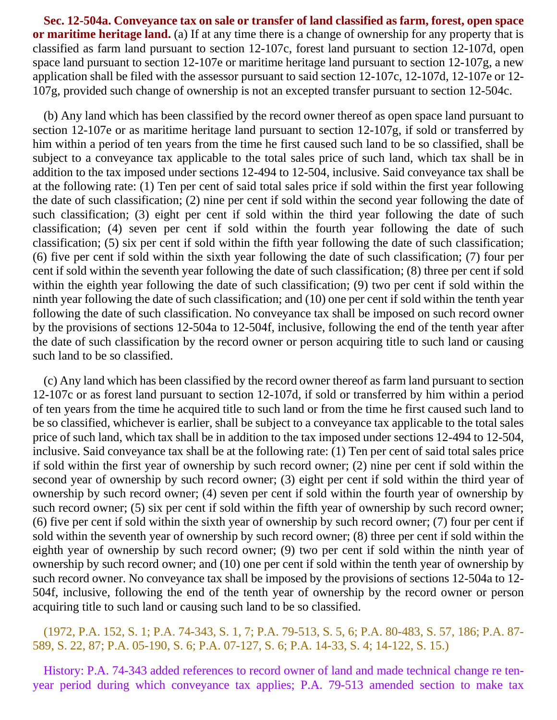**Sec. 12-504a. Conveyance tax on sale or transfer of land classified as farm, forest, open space or maritime heritage land.** (a) If at any time there is a change of ownership for any property that is classified as farm land pursuant to section 12-107c, forest land pursuant to section 12-107d, open space land pursuant to section 12-107e or maritime heritage land pursuant to section 12-107g, a new application shall be filed with the assessor pursuant to said section 12-107c, 12-107d, 12-107e or 12- 107g, provided such change of ownership is not an excepted transfer pursuant to section 12-504c.

(b) Any land which has been classified by the record owner thereof as open space land pursuant to section 12-107e or as maritime heritage land pursuant to section 12-107g, if sold or transferred by him within a period of ten years from the time he first caused such land to be so classified, shall be subject to a conveyance tax applicable to the total sales price of such land, which tax shall be in addition to the tax imposed under sections 12-494 to 12-504, inclusive. Said conveyance tax shall be at the following rate: (1) Ten per cent of said total sales price if sold within the first year following the date of such classification; (2) nine per cent if sold within the second year following the date of such classification; (3) eight per cent if sold within the third year following the date of such classification; (4) seven per cent if sold within the fourth year following the date of such classification; (5) six per cent if sold within the fifth year following the date of such classification; (6) five per cent if sold within the sixth year following the date of such classification; (7) four per cent if sold within the seventh year following the date of such classification; (8) three per cent if sold within the eighth year following the date of such classification; (9) two per cent if sold within the ninth year following the date of such classification; and (10) one per cent if sold within the tenth year following the date of such classification. No conveyance tax shall be imposed on such record owner by the provisions of sections 12-504a to 12-504f, inclusive, following the end of the tenth year after the date of such classification by the record owner or person acquiring title to such land or causing such land to be so classified.

(c) Any land which has been classified by the record owner thereof as farm land pursuant to section 12-107c or as forest land pursuant to section 12-107d, if sold or transferred by him within a period of ten years from the time he acquired title to such land or from the time he first caused such land to be so classified, whichever is earlier, shall be subject to a conveyance tax applicable to the total sales price of such land, which tax shall be in addition to the tax imposed under sections 12-494 to 12-504, inclusive. Said conveyance tax shall be at the following rate: (1) Ten per cent of said total sales price if sold within the first year of ownership by such record owner; (2) nine per cent if sold within the second year of ownership by such record owner; (3) eight per cent if sold within the third year of ownership by such record owner; (4) seven per cent if sold within the fourth year of ownership by such record owner; (5) six per cent if sold within the fifth year of ownership by such record owner; (6) five per cent if sold within the sixth year of ownership by such record owner; (7) four per cent if sold within the seventh year of ownership by such record owner; (8) three per cent if sold within the eighth year of ownership by such record owner; (9) two per cent if sold within the ninth year of ownership by such record owner; and (10) one per cent if sold within the tenth year of ownership by such record owner. No conveyance tax shall be imposed by the provisions of sections 12-504a to 12- 504f, inclusive, following the end of the tenth year of ownership by the record owner or person acquiring title to such land or causing such land to be so classified.

# (1972, P.A. 152, S. 1; P.A. 74-343, S. 1, 7; P.A. 79-513, S. 5, 6; P.A. 80-483, S. 57, 186; P.A. 87- 589, S. 22, 87; P.A. 05-190, S. 6; P.A. 07-127, S. 6; P.A. 14-33, S. 4; 14-122, S. 15.)

History: P.A. 74-343 added references to record owner of land and made technical change re tenyear period during which conveyance tax applies; P.A. 79-513 amended section to make tax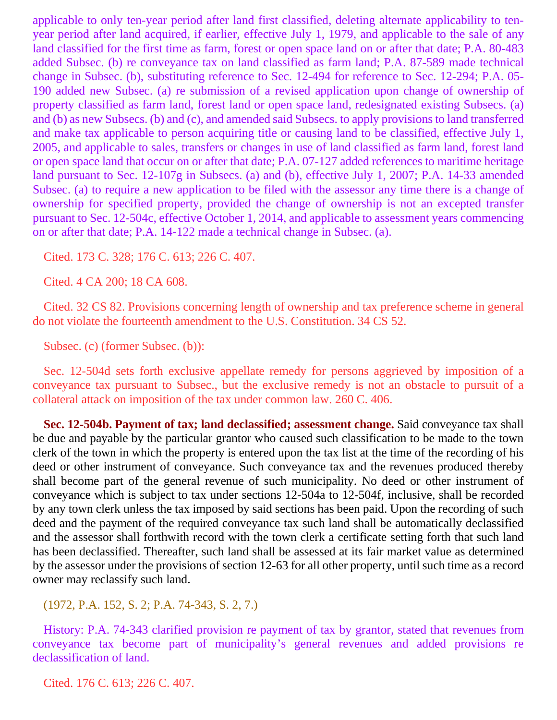applicable to only ten-year period after land first classified, deleting alternate applicability to tenyear period after land acquired, if earlier, effective July 1, 1979, and applicable to the sale of any land classified for the first time as farm, forest or open space land on or after that date; P.A. 80-483 added Subsec. (b) re conveyance tax on land classified as farm land; P.A. 87-589 made technical change in Subsec. (b), substituting reference to Sec. 12-494 for reference to Sec. 12-294; P.A. 05- 190 added new Subsec. (a) re submission of a revised application upon change of ownership of property classified as farm land, forest land or open space land, redesignated existing Subsecs. (a) and (b) as new Subsecs. (b) and (c), and amended said Subsecs. to apply provisions to land transferred and make tax applicable to person acquiring title or causing land to be classified, effective July 1, 2005, and applicable to sales, transfers or changes in use of land classified as farm land, forest land or open space land that occur on or after that date; P.A. 07-127 added references to maritime heritage land pursuant to Sec. 12-107g in Subsecs. (a) and (b), effective July 1, 2007; P.A. 14-33 amended Subsec. (a) to require a new application to be filed with the assessor any time there is a change of ownership for specified property, provided the change of ownership is not an excepted transfer pursuant to Sec. 12-504c, effective October 1, 2014, and applicable to assessment years commencing on or after that date; P.A. 14-122 made a technical change in Subsec. (a).

Cited. 173 C. 328; 176 C. 613; 226 C. 407.

Cited. 4 CA 200; 18 CA 608.

Cited. 32 CS 82. Provisions concerning length of ownership and tax preference scheme in general do not violate the fourteenth amendment to the U.S. Constitution. 34 CS 52.

Subsec. (c) (former Subsec. (b)):

Sec. 12-504d sets forth exclusive appellate remedy for persons aggrieved by imposition of a conveyance tax pursuant to Subsec., but the exclusive remedy is not an obstacle to pursuit of a collateral attack on imposition of the tax under common law. 260 C. 406.

**Sec. 12-504b. Payment of tax; land declassified; assessment change.** Said conveyance tax shall be due and payable by the particular grantor who caused such classification to be made to the town clerk of the town in which the property is entered upon the tax list at the time of the recording of his deed or other instrument of conveyance. Such conveyance tax and the revenues produced thereby shall become part of the general revenue of such municipality. No deed or other instrument of conveyance which is subject to tax under sections 12-504a to 12-504f, inclusive, shall be recorded by any town clerk unless the tax imposed by said sections has been paid. Upon the recording of such deed and the payment of the required conveyance tax such land shall be automatically declassified and the assessor shall forthwith record with the town clerk a certificate setting forth that such land has been declassified. Thereafter, such land shall be assessed at its fair market value as determined by the assessor under the provisions of section 12-63 for all other property, until such time as a record owner may reclassify such land.

(1972, P.A. 152, S. 2; P.A. 74-343, S. 2, 7.)

History: P.A. 74-343 clarified provision re payment of tax by grantor, stated that revenues from conveyance tax become part of municipality's general revenues and added provisions re declassification of land.

Cited. 176 C. 613; 226 C. 407.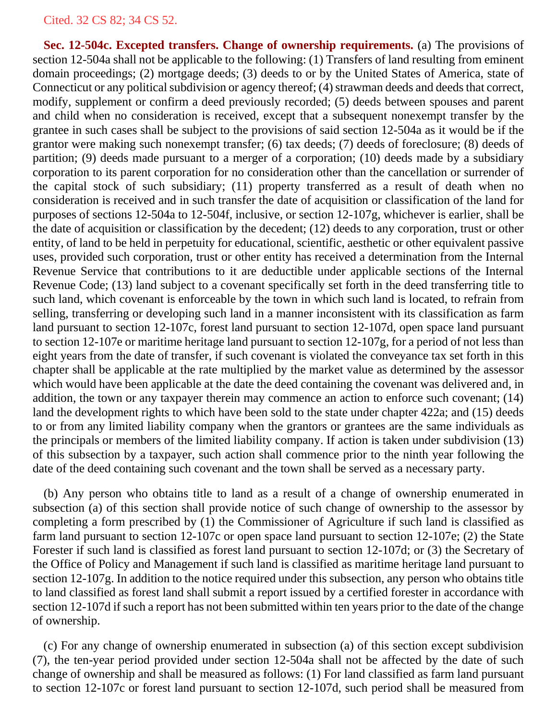**Sec. 12-504c. Excepted transfers. Change of ownership requirements.** (a) The provisions of section 12-504a shall not be applicable to the following: (1) Transfers of land resulting from eminent domain proceedings; (2) mortgage deeds; (3) deeds to or by the United States of America, state of Connecticut or any political subdivision or agency thereof; (4) strawman deeds and deeds that correct, modify, supplement or confirm a deed previously recorded; (5) deeds between spouses and parent and child when no consideration is received, except that a subsequent nonexempt transfer by the grantee in such cases shall be subject to the provisions of said section 12-504a as it would be if the grantor were making such nonexempt transfer; (6) tax deeds; (7) deeds of foreclosure; (8) deeds of partition; (9) deeds made pursuant to a merger of a corporation; (10) deeds made by a subsidiary corporation to its parent corporation for no consideration other than the cancellation or surrender of the capital stock of such subsidiary; (11) property transferred as a result of death when no consideration is received and in such transfer the date of acquisition or classification of the land for purposes of sections 12-504a to 12-504f, inclusive, or section 12-107g, whichever is earlier, shall be the date of acquisition or classification by the decedent; (12) deeds to any corporation, trust or other entity, of land to be held in perpetuity for educational, scientific, aesthetic or other equivalent passive uses, provided such corporation, trust or other entity has received a determination from the Internal Revenue Service that contributions to it are deductible under applicable sections of the Internal Revenue Code; (13) land subject to a covenant specifically set forth in the deed transferring title to such land, which covenant is enforceable by the town in which such land is located, to refrain from selling, transferring or developing such land in a manner inconsistent with its classification as farm land pursuant to section 12-107c, forest land pursuant to section 12-107d, open space land pursuant to section 12-107e or maritime heritage land pursuant to section 12-107g, for a period of not less than eight years from the date of transfer, if such covenant is violated the conveyance tax set forth in this chapter shall be applicable at the rate multiplied by the market value as determined by the assessor which would have been applicable at the date the deed containing the covenant was delivered and, in addition, the town or any taxpayer therein may commence an action to enforce such covenant; (14) land the development rights to which have been sold to the state under chapter 422a; and (15) deeds to or from any limited liability company when the grantors or grantees are the same individuals as the principals or members of the limited liability company. If action is taken under subdivision (13) of this subsection by a taxpayer, such action shall commence prior to the ninth year following the date of the deed containing such covenant and the town shall be served as a necessary party.

(b) Any person who obtains title to land as a result of a change of ownership enumerated in subsection (a) of this section shall provide notice of such change of ownership to the assessor by completing a form prescribed by (1) the Commissioner of Agriculture if such land is classified as farm land pursuant to section 12-107c or open space land pursuant to section 12-107e; (2) the State Forester if such land is classified as forest land pursuant to section 12-107d; or (3) the Secretary of the Office of Policy and Management if such land is classified as maritime heritage land pursuant to section 12-107g. In addition to the notice required under this subsection, any person who obtains title to land classified as forest land shall submit a report issued by a certified forester in accordance with section 12-107d if such a report has not been submitted within ten years prior to the date of the change of ownership.

(c) For any change of ownership enumerated in subsection (a) of this section except subdivision (7), the ten-year period provided under section 12-504a shall not be affected by the date of such change of ownership and shall be measured as follows: (1) For land classified as farm land pursuant to section 12-107c or forest land pursuant to section 12-107d, such period shall be measured from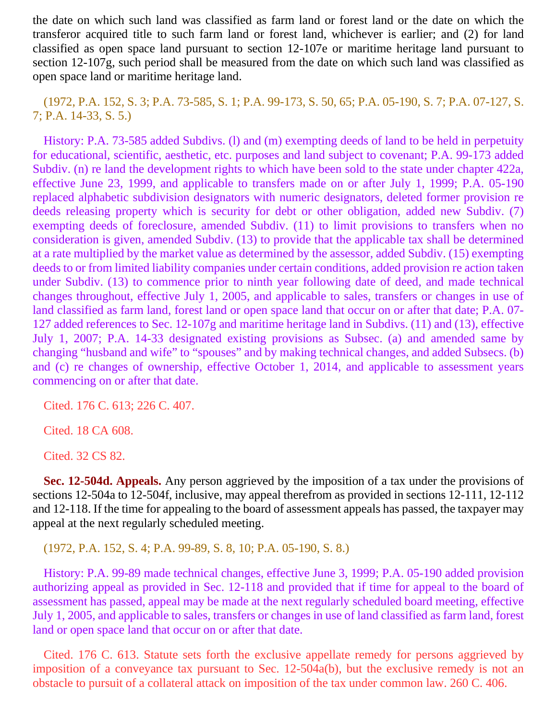the date on which such land was classified as farm land or forest land or the date on which the transferor acquired title to such farm land or forest land, whichever is earlier; and (2) for land classified as open space land pursuant to section 12-107e or maritime heritage land pursuant to section 12-107g, such period shall be measured from the date on which such land was classified as open space land or maritime heritage land.

(1972, P.A. 152, S. 3; P.A. 73-585, S. 1; P.A. 99-173, S. 50, 65; P.A. 05-190, S. 7; P.A. 07-127, S. 7; P.A. 14-33, S. 5.)

History: P.A. 73-585 added Subdivs. (1) and (m) exempting deeds of land to be held in perpetuity for educational, scientific, aesthetic, etc. purposes and land subject to covenant; P.A. 99-173 added Subdiv. (n) re land the development rights to which have been sold to the state under chapter 422a, effective June 23, 1999, and applicable to transfers made on or after July 1, 1999; P.A. 05-190 replaced alphabetic subdivision designators with numeric designators, deleted former provision re deeds releasing property which is security for debt or other obligation, added new Subdiv. (7) exempting deeds of foreclosure, amended Subdiv. (11) to limit provisions to transfers when no consideration is given, amended Subdiv. (13) to provide that the applicable tax shall be determined at a rate multiplied by the market value as determined by the assessor, added Subdiv. (15) exempting deeds to or from limited liability companies under certain conditions, added provision re action taken under Subdiv. (13) to commence prior to ninth year following date of deed, and made technical changes throughout, effective July 1, 2005, and applicable to sales, transfers or changes in use of land classified as farm land, forest land or open space land that occur on or after that date; P.A. 07- 127 added references to Sec. 12-107g and maritime heritage land in Subdivs. (11) and (13), effective July 1, 2007; P.A. 14-33 designated existing provisions as Subsec. (a) and amended same by changing "husband and wife" to "spouses" and by making technical changes, and added Subsecs. (b) and (c) re changes of ownership, effective October 1, 2014, and applicable to assessment years commencing on or after that date.

Cited. 176 C. 613; 226 C. 407.

Cited. 18 CA 608.

Cited. 32 CS 82.

**Sec. 12-504d. Appeals.** Any person aggrieved by the imposition of a tax under the provisions of sections 12-504a to 12-504f, inclusive, may appeal therefrom as provided in sections 12-111, 12-112 and 12-118. If the time for appealing to the board of assessment appeals has passed, the taxpayer may appeal at the next regularly scheduled meeting.

(1972, P.A. 152, S. 4; P.A. 99-89, S. 8, 10; P.A. 05-190, S. 8.)

History: P.A. 99-89 made technical changes, effective June 3, 1999; P.A. 05-190 added provision authorizing appeal as provided in Sec. 12-118 and provided that if time for appeal to the board of assessment has passed, appeal may be made at the next regularly scheduled board meeting, effective July 1, 2005, and applicable to sales, transfers or changes in use of land classified as farm land, forest land or open space land that occur on or after that date.

Cited. 176 C. 613. Statute sets forth the exclusive appellate remedy for persons aggrieved by imposition of a conveyance tax pursuant to Sec. 12-504a(b), but the exclusive remedy is not an obstacle to pursuit of a collateral attack on imposition of the tax under common law. 260 C. 406.